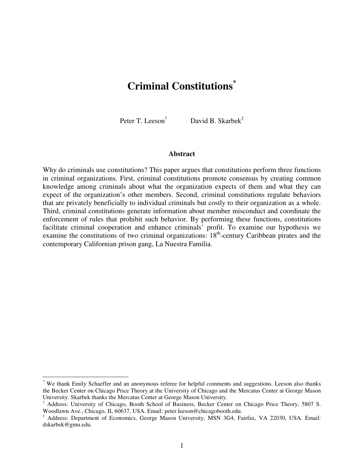# **Criminal Constitutions\***

Peter T. Leeson†

David B. Skarbek $\ddagger$ 

#### **Abstract**

Why do criminals use constitutions? This paper argues that constitutions perform three functions in criminal organizations. First, criminal constitutions promote consensus by creating common knowledge among criminals about what the organization expects of them and what they can expect of the organization's other members. Second, criminal constitutions regulate behaviors that are privately beneficially to individual criminals but costly to their organization as a whole. Third, criminal constitutions generate information about member misconduct and coordinate the enforcement of rules that prohibit such behavior. By performing these functions, constitutions facilitate criminal cooperation and enhance criminals' profit. To examine our hypothesis we examine the constitutions of two criminal organizations: 18<sup>th</sup>-century Caribbean pirates and the contemporary Californian prison gang, La Nuestra Familia.

l

<sup>\*</sup> We thank Emily Schaeffer and an anonymous referee for helpful comments and suggestions. Leeson also thanks the Becker Center on Chicago Price Theory at the University of Chicago and the Mercatus Center at George Mason University. Skarbek thanks the Mercatus Center at George Mason University.

<sup>†</sup> Address: University of Chicago, Booth School of Business, Becker Center on Chicago Price Theory, 5807 S. Woodlawn Ave., Chicago, IL 60637, USA. Email: peter.leeson@chicagobooth.edu.

<sup>‡</sup> Address: Department of Economics, George Mason University, MSN 3G4, Fairfax, VA 22030, USA. Email: dskarbek@gmu.edu.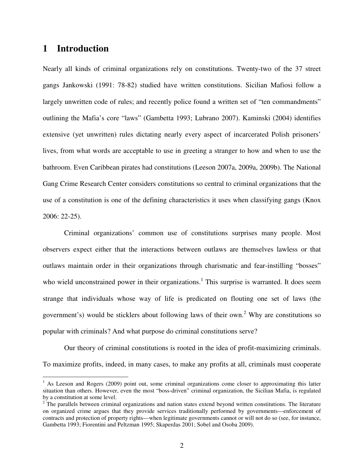### **1 Introduction**

l

Nearly all kinds of criminal organizations rely on constitutions. Twenty-two of the 37 street gangs Jankowski (1991: 78-82) studied have written constitutions. Sicilian Mafiosi follow a largely unwritten code of rules; and recently police found a written set of "ten commandments" outlining the Mafia's core "laws" (Gambetta 1993; Lubrano 2007). Kaminski (2004) identifies extensive (yet unwritten) rules dictating nearly every aspect of incarcerated Polish prisoners' lives, from what words are acceptable to use in greeting a stranger to how and when to use the bathroom. Even Caribbean pirates had constitutions (Leeson 2007a, 2009a, 2009b). The National Gang Crime Research Center considers constitutions so central to criminal organizations that the use of a constitution is one of the defining characteristics it uses when classifying gangs (Knox 2006: 22-25).

Criminal organizations' common use of constitutions surprises many people. Most observers expect either that the interactions between outlaws are themselves lawless or that outlaws maintain order in their organizations through charismatic and fear-instilling "bosses" who wield unconstrained power in their organizations.<sup>1</sup> This surprise is warranted. It does seem strange that individuals whose way of life is predicated on flouting one set of laws (the government's) would be sticklers about following laws of their own.<sup>2</sup> Why are constitutions so popular with criminals? And what purpose do criminal constitutions serve?

Our theory of criminal constitutions is rooted in the idea of profit-maximizing criminals. To maximize profits, indeed, in many cases, to make any profits at all, criminals must cooperate

<sup>&</sup>lt;sup>1</sup> As Leeson and Rogers (2009) point out, some criminal organizations come closer to approximating this latter situation than others. However, even the most "boss-driven" criminal organization, the Sicilian Mafia, is regulated by a constitution at some level.

<sup>&</sup>lt;sup>2</sup> The parallels between criminal organizations and nation states extend beyond written constitutions. The literature on organized crime argues that they provide services traditionally performed by governments—enforcement of contracts and protection of property rights—when legitimate governments cannot or will not do so (see, for instance, Gambetta 1993; Fiorentini and Peltzman 1995; Skaperdas 2001; Sobel and Osoba 2009).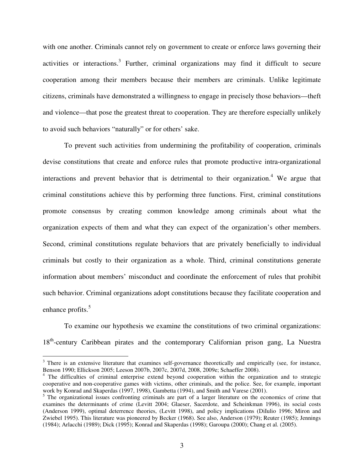with one another. Criminals cannot rely on government to create or enforce laws governing their activities or interactions.<sup>3</sup> Further, criminal organizations may find it difficult to secure cooperation among their members because their members are criminals. Unlike legitimate citizens, criminals have demonstrated a willingness to engage in precisely those behaviors—theft and violence—that pose the greatest threat to cooperation. They are therefore especially unlikely to avoid such behaviors "naturally" or for others' sake.

To prevent such activities from undermining the profitability of cooperation, criminals devise constitutions that create and enforce rules that promote productive intra-organizational interactions and prevent behavior that is detrimental to their organization.<sup>4</sup> We argue that criminal constitutions achieve this by performing three functions. First, criminal constitutions promote consensus by creating common knowledge among criminals about what the organization expects of them and what they can expect of the organization's other members. Second, criminal constitutions regulate behaviors that are privately beneficially to individual criminals but costly to their organization as a whole. Third, criminal constitutions generate information about members' misconduct and coordinate the enforcement of rules that prohibit such behavior. Criminal organizations adopt constitutions because they facilitate cooperation and enhance profits.<sup>5</sup>

To examine our hypothesis we examine the constitutions of two criminal organizations: 18<sup>th</sup>-century Caribbean pirates and the contemporary Californian prison gang, La Nuestra

 $\overline{a}$ 

 $3$  There is an extensive literature that examines self-governance theoretically and empirically (see, for instance, Benson 1990; Ellickson 2005; Leeson 2007b, 2007c, 2007d, 2008, 2009e; Schaeffer 2008).

<sup>&</sup>lt;sup>4</sup> The difficulties of criminal enterprise extend beyond cooperation within the organization and to strategic cooperative and non-cooperative games with victims, other criminals, and the police. See, for example, important work by Konrad and Skaperdas (1997, 1998), Gambetta (1994), and Smith and Varese (2001).

<sup>&</sup>lt;sup>5</sup> The organizational issues confronting criminals are part of a larger literature on the economics of crime that examines the determinants of crime (Levitt 2004; Glaeser, Sacerdote, and Scheinkman 1996), its social costs (Anderson 1999), optimal deterrence theories, (Levitt 1998), and policy implications (DiIulio 1996; Miron and Zwiebel 1995). This literature was pioneered by Becker (1968). See also, Anderson (1979); Reuter (1985); Jennings (1984); Arlacchi (1989); Dick (1995); Konrad and Skaperdas (1998); Garoupa (2000); Chang et al. (2005).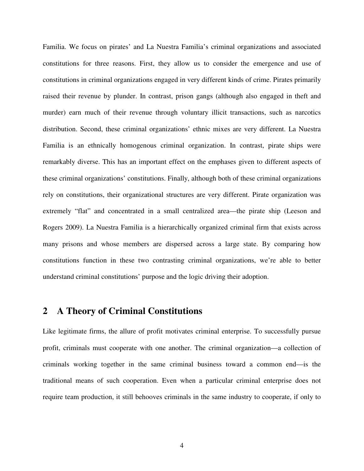Familia. We focus on pirates' and La Nuestra Familia's criminal organizations and associated constitutions for three reasons. First, they allow us to consider the emergence and use of constitutions in criminal organizations engaged in very different kinds of crime. Pirates primarily raised their revenue by plunder. In contrast, prison gangs (although also engaged in theft and murder) earn much of their revenue through voluntary illicit transactions, such as narcotics distribution. Second, these criminal organizations' ethnic mixes are very different. La Nuestra Familia is an ethnically homogenous criminal organization. In contrast, pirate ships were remarkably diverse. This has an important effect on the emphases given to different aspects of these criminal organizations' constitutions. Finally, although both of these criminal organizations rely on constitutions, their organizational structures are very different. Pirate organization was extremely "flat" and concentrated in a small centralized area—the pirate ship (Leeson and Rogers 2009). La Nuestra Familia is a hierarchically organized criminal firm that exists across many prisons and whose members are dispersed across a large state. By comparing how constitutions function in these two contrasting criminal organizations, we're able to better understand criminal constitutions' purpose and the logic driving their adoption.

## **2 A Theory of Criminal Constitutions**

Like legitimate firms, the allure of profit motivates criminal enterprise. To successfully pursue profit, criminals must cooperate with one another. The criminal organization—a collection of criminals working together in the same criminal business toward a common end—is the traditional means of such cooperation. Even when a particular criminal enterprise does not require team production, it still behooves criminals in the same industry to cooperate, if only to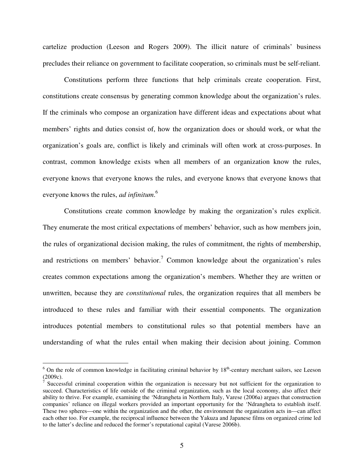cartelize production (Leeson and Rogers 2009). The illicit nature of criminals' business precludes their reliance on government to facilitate cooperation, so criminals must be self-reliant.

 Constitutions perform three functions that help criminals create cooperation. First, constitutions create consensus by generating common knowledge about the organization's rules. If the criminals who compose an organization have different ideas and expectations about what members' rights and duties consist of, how the organization does or should work, or what the organization's goals are, conflict is likely and criminals will often work at cross-purposes. In contrast, common knowledge exists when all members of an organization know the rules, everyone knows that everyone knows the rules, and everyone knows that everyone knows that everyone knows the rules, *ad infinitum*. 6

Constitutions create common knowledge by making the organization's rules explicit. They enumerate the most critical expectations of members' behavior, such as how members join, the rules of organizational decision making, the rules of commitment, the rights of membership, and restrictions on members' behavior.<sup>7</sup> Common knowledge about the organization's rules creates common expectations among the organization's members. Whether they are written or unwritten, because they are *constitutional* rules, the organization requires that all members be introduced to these rules and familiar with their essential components. The organization introduces potential members to constitutional rules so that potential members have an understanding of what the rules entail when making their decision about joining. Common

<sup>&</sup>lt;sup>6</sup> On the role of common knowledge in facilitating criminal behavior by 18<sup>th</sup>-century merchant sailors, see Leeson (2009c).

<sup>&</sup>lt;sup>7</sup> Successful criminal cooperation within the organization is necessary but not sufficient for the organization to succeed. Characteristics of life outside of the criminal organization, such as the local economy, also affect their ability to thrive. For example, examining the 'Ndrangheta in Northern Italy, Varese (2006a) argues that construction companies' reliance on illegal workers provided an important opportunity for the 'Ndrangheta to establish itself. These two spheres—one within the organization and the other, the environment the organization acts in—can affect each other too. For example, the reciprocal influence between the Yakuza and Japanese films on organized crime led to the latter's decline and reduced the former's reputational capital (Varese 2006b).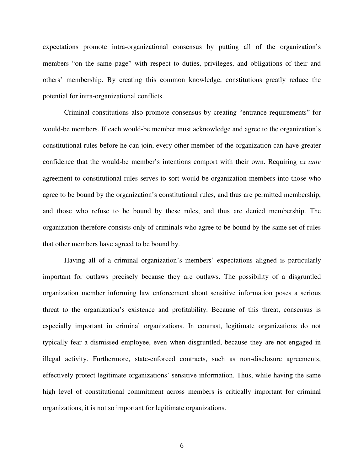expectations promote intra-organizational consensus by putting all of the organization's members "on the same page" with respect to duties, privileges, and obligations of their and others' membership. By creating this common knowledge, constitutions greatly reduce the potential for intra-organizational conflicts.

Criminal constitutions also promote consensus by creating "entrance requirements" for would-be members. If each would-be member must acknowledge and agree to the organization's constitutional rules before he can join, every other member of the organization can have greater confidence that the would-be member's intentions comport with their own. Requiring *ex ante* agreement to constitutional rules serves to sort would-be organization members into those who agree to be bound by the organization's constitutional rules, and thus are permitted membership, and those who refuse to be bound by these rules, and thus are denied membership. The organization therefore consists only of criminals who agree to be bound by the same set of rules that other members have agreed to be bound by.

Having all of a criminal organization's members' expectations aligned is particularly important for outlaws precisely because they are outlaws. The possibility of a disgruntled organization member informing law enforcement about sensitive information poses a serious threat to the organization's existence and profitability. Because of this threat, consensus is especially important in criminal organizations. In contrast, legitimate organizations do not typically fear a dismissed employee, even when disgruntled, because they are not engaged in illegal activity. Furthermore, state-enforced contracts, such as non-disclosure agreements, effectively protect legitimate organizations' sensitive information. Thus, while having the same high level of constitutional commitment across members is critically important for criminal organizations, it is not so important for legitimate organizations.

6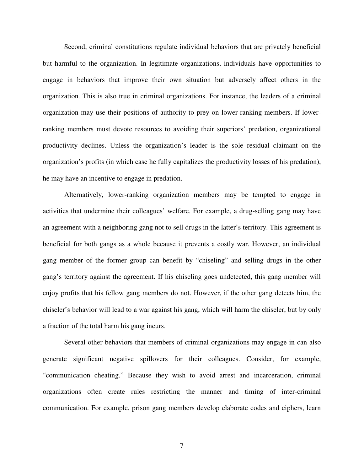Second, criminal constitutions regulate individual behaviors that are privately beneficial but harmful to the organization. In legitimate organizations, individuals have opportunities to engage in behaviors that improve their own situation but adversely affect others in the organization. This is also true in criminal organizations. For instance, the leaders of a criminal organization may use their positions of authority to prey on lower-ranking members. If lowerranking members must devote resources to avoiding their superiors' predation, organizational productivity declines. Unless the organization's leader is the sole residual claimant on the organization's profits (in which case he fully capitalizes the productivity losses of his predation), he may have an incentive to engage in predation.

Alternatively, lower-ranking organization members may be tempted to engage in activities that undermine their colleagues' welfare. For example, a drug-selling gang may have an agreement with a neighboring gang not to sell drugs in the latter's territory. This agreement is beneficial for both gangs as a whole because it prevents a costly war. However, an individual gang member of the former group can benefit by "chiseling" and selling drugs in the other gang's territory against the agreement. If his chiseling goes undetected, this gang member will enjoy profits that his fellow gang members do not. However, if the other gang detects him, the chiseler's behavior will lead to a war against his gang, which will harm the chiseler, but by only a fraction of the total harm his gang incurs.

Several other behaviors that members of criminal organizations may engage in can also generate significant negative spillovers for their colleagues. Consider, for example, "communication cheating." Because they wish to avoid arrest and incarceration, criminal organizations often create rules restricting the manner and timing of inter-criminal communication. For example, prison gang members develop elaborate codes and ciphers, learn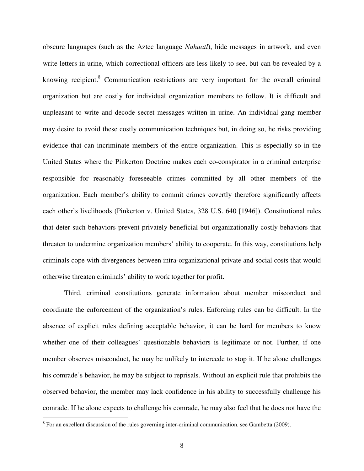obscure languages (such as the Aztec language *Nahuatl*), hide messages in artwork, and even write letters in urine, which correctional officers are less likely to see, but can be revealed by a knowing recipient.<sup>8</sup> Communication restrictions are very important for the overall criminal organization but are costly for individual organization members to follow. It is difficult and unpleasant to write and decode secret messages written in urine. An individual gang member may desire to avoid these costly communication techniques but, in doing so, he risks providing evidence that can incriminate members of the entire organization. This is especially so in the United States where the Pinkerton Doctrine makes each co-conspirator in a criminal enterprise responsible for reasonably foreseeable crimes committed by all other members of the organization. Each member's ability to commit crimes covertly therefore significantly affects each other's livelihoods (Pinkerton v. United States, 328 U.S. 640 [1946]). Constitutional rules that deter such behaviors prevent privately beneficial but organizationally costly behaviors that threaten to undermine organization members' ability to cooperate. In this way, constitutions help criminals cope with divergences between intra-organizational private and social costs that would otherwise threaten criminals' ability to work together for profit.

Third, criminal constitutions generate information about member misconduct and coordinate the enforcement of the organization's rules. Enforcing rules can be difficult. In the absence of explicit rules defining acceptable behavior, it can be hard for members to know whether one of their colleagues' questionable behaviors is legitimate or not. Further, if one member observes misconduct, he may be unlikely to intercede to stop it. If he alone challenges his comrade's behavior, he may be subject to reprisals. Without an explicit rule that prohibits the observed behavior, the member may lack confidence in his ability to successfully challenge his comrade. If he alone expects to challenge his comrade, he may also feel that he does not have the

l

 $8$  For an excellent discussion of the rules governing inter-criminal communication, see Gambetta (2009).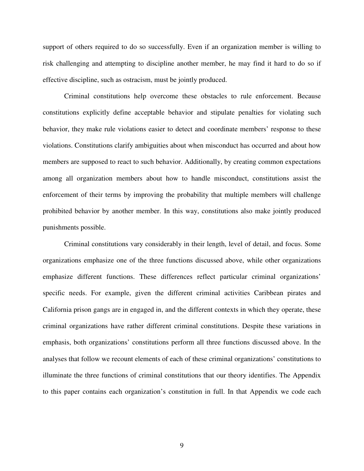support of others required to do so successfully. Even if an organization member is willing to risk challenging and attempting to discipline another member, he may find it hard to do so if effective discipline, such as ostracism, must be jointly produced.

Criminal constitutions help overcome these obstacles to rule enforcement. Because constitutions explicitly define acceptable behavior and stipulate penalties for violating such behavior, they make rule violations easier to detect and coordinate members' response to these violations. Constitutions clarify ambiguities about when misconduct has occurred and about how members are supposed to react to such behavior. Additionally, by creating common expectations among all organization members about how to handle misconduct, constitutions assist the enforcement of their terms by improving the probability that multiple members will challenge prohibited behavior by another member. In this way, constitutions also make jointly produced punishments possible.

Criminal constitutions vary considerably in their length, level of detail, and focus. Some organizations emphasize one of the three functions discussed above, while other organizations emphasize different functions. These differences reflect particular criminal organizations' specific needs. For example, given the different criminal activities Caribbean pirates and California prison gangs are in engaged in, and the different contexts in which they operate, these criminal organizations have rather different criminal constitutions. Despite these variations in emphasis, both organizations' constitutions perform all three functions discussed above. In the analyses that follow we recount elements of each of these criminal organizations' constitutions to illuminate the three functions of criminal constitutions that our theory identifies. The Appendix to this paper contains each organization's constitution in full. In that Appendix we code each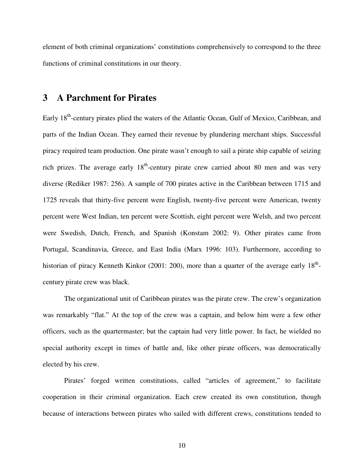element of both criminal organizations' constitutions comprehensively to correspond to the three functions of criminal constitutions in our theory.

### **3 A Parchment for Pirates**

Early 18<sup>th</sup>-century pirates plied the waters of the Atlantic Ocean, Gulf of Mexico, Caribbean, and parts of the Indian Ocean. They earned their revenue by plundering merchant ships. Successful piracy required team production. One pirate wasn't enough to sail a pirate ship capable of seizing rich prizes. The average early  $18<sup>th</sup>$ -century pirate crew carried about 80 men and was very diverse (Rediker 1987: 256). A sample of 700 pirates active in the Caribbean between 1715 and 1725 reveals that thirty-five percent were English, twenty-five percent were American, twenty percent were West Indian, ten percent were Scottish, eight percent were Welsh, and two percent were Swedish, Dutch, French, and Spanish (Konstam 2002: 9). Other pirates came from Portugal, Scandinavia, Greece, and East India (Marx 1996: 103). Furthermore, according to historian of piracy Kenneth Kinkor (2001: 200), more than a quarter of the average early  $18<sup>th</sup>$ century pirate crew was black.

 The organizational unit of Caribbean pirates was the pirate crew. The crew's organization was remarkably "flat." At the top of the crew was a captain, and below him were a few other officers, such as the quartermaster; but the captain had very little power. In fact, he wielded no special authority except in times of battle and, like other pirate officers, was democratically elected by his crew.

Pirates' forged written constitutions, called "articles of agreement," to facilitate cooperation in their criminal organization. Each crew created its own constitution, though because of interactions between pirates who sailed with different crews, constitutions tended to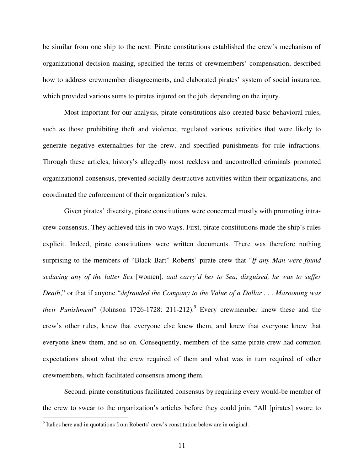be similar from one ship to the next. Pirate constitutions established the crew's mechanism of organizational decision making, specified the terms of crewmembers' compensation, described how to address crewmember disagreements, and elaborated pirates' system of social insurance, which provided various sums to pirates injured on the job, depending on the injury.

Most important for our analysis, pirate constitutions also created basic behavioral rules, such as those prohibiting theft and violence, regulated various activities that were likely to generate negative externalities for the crew, and specified punishments for rule infractions. Through these articles, history's allegedly most reckless and uncontrolled criminals promoted organizational consensus, prevented socially destructive activities within their organizations, and coordinated the enforcement of their organization's rules.

Given pirates' diversity, pirate constitutions were concerned mostly with promoting intracrew consensus. They achieved this in two ways. First, pirate constitutions made the ship's rules explicit. Indeed, pirate constitutions were written documents. There was therefore nothing surprising to the members of "Black Bart" Roberts' pirate crew that "*If any Man were found seducing any of the latter Sex* [women]*, and carry'd her to Sea, disguised, he was to suffer Death*," or that if anyone "*defrauded the Company to the Value of a Dollar . . . Marooning was their Punishment*" (Johnson 1726-1728: 211-212).<sup>9</sup> Every crewmember knew these and the crew's other rules, knew that everyone else knew them, and knew that everyone knew that everyone knew them, and so on. Consequently, members of the same pirate crew had common expectations about what the crew required of them and what was in turn required of other crewmembers, which facilitated consensus among them.

Second, pirate constitutions facilitated consensus by requiring every would-be member of the crew to swear to the organization's articles before they could join. "All [pirates] swore to

l

<sup>&</sup>lt;sup>9</sup> Italics here and in quotations from Roberts' crew's constitution below are in original.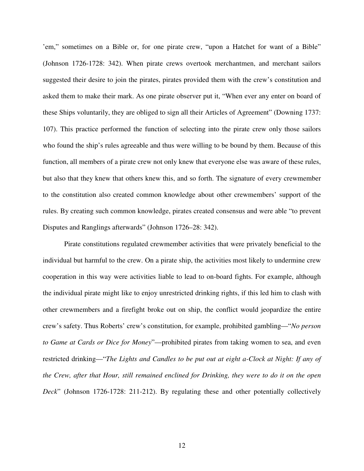'em," sometimes on a Bible or, for one pirate crew, "upon a Hatchet for want of a Bible" (Johnson 1726-1728: 342). When pirate crews overtook merchantmen, and merchant sailors suggested their desire to join the pirates, pirates provided them with the crew's constitution and asked them to make their mark. As one pirate observer put it, "When ever any enter on board of these Ships voluntarily, they are obliged to sign all their Articles of Agreement" (Downing 1737: 107). This practice performed the function of selecting into the pirate crew only those sailors who found the ship's rules agreeable and thus were willing to be bound by them. Because of this function, all members of a pirate crew not only knew that everyone else was aware of these rules, but also that they knew that others knew this, and so forth. The signature of every crewmember to the constitution also created common knowledge about other crewmembers' support of the rules. By creating such common knowledge, pirates created consensus and were able "to prevent Disputes and Ranglings afterwards" (Johnson 1726–28: 342).

 Pirate constitutions regulated crewmember activities that were privately beneficial to the individual but harmful to the crew. On a pirate ship, the activities most likely to undermine crew cooperation in this way were activities liable to lead to on-board fights. For example, although the individual pirate might like to enjoy unrestricted drinking rights, if this led him to clash with other crewmembers and a firefight broke out on ship, the conflict would jeopardize the entire crew's safety. Thus Roberts' crew's constitution, for example, prohibited gambling—"*No person to Game at Cards or Dice for Money*"—prohibited pirates from taking women to sea, and even restricted drinking—"*The Lights and Candles to be put out at eight a-Clock at Night: If any of the Crew, after that Hour, still remained enclined for Drinking, they were to do it on the open Deck*" (Johnson 1726-1728: 211-212). By regulating these and other potentially collectively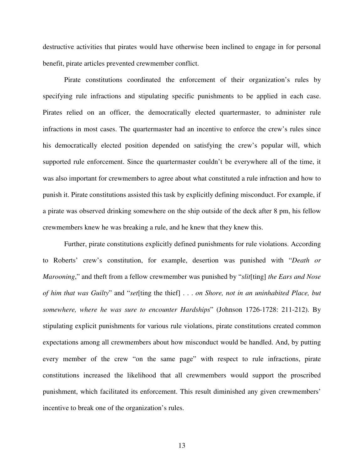destructive activities that pirates would have otherwise been inclined to engage in for personal benefit, pirate articles prevented crewmember conflict.

Pirate constitutions coordinated the enforcement of their organization's rules by specifying rule infractions and stipulating specific punishments to be applied in each case. Pirates relied on an officer, the democratically elected quartermaster, to administer rule infractions in most cases. The quartermaster had an incentive to enforce the crew's rules since his democratically elected position depended on satisfying the crew's popular will, which supported rule enforcement. Since the quartermaster couldn't be everywhere all of the time, it was also important for crewmembers to agree about what constituted a rule infraction and how to punish it. Pirate constitutions assisted this task by explicitly defining misconduct. For example, if a pirate was observed drinking somewhere on the ship outside of the deck after 8 pm, his fellow crewmembers knew he was breaking a rule, and he knew that they knew this.

Further, pirate constitutions explicitly defined punishments for rule violations. According to Roberts' crew's constitution, for example, desertion was punished with "*Death or Marooning*," and theft from a fellow crewmember was punished by "*slit*[ting] *the Ears and Nose of him that was Guilty*" and "*set*[ting the thief] . . . *on Shore, not in an uninhabited Place, but somewhere, where he was sure to encounter Hardships*" (Johnson 1726-1728: 211-212). By stipulating explicit punishments for various rule violations, pirate constitutions created common expectations among all crewmembers about how misconduct would be handled. And, by putting every member of the crew "on the same page" with respect to rule infractions, pirate constitutions increased the likelihood that all crewmembers would support the proscribed punishment, which facilitated its enforcement. This result diminished any given crewmembers' incentive to break one of the organization's rules.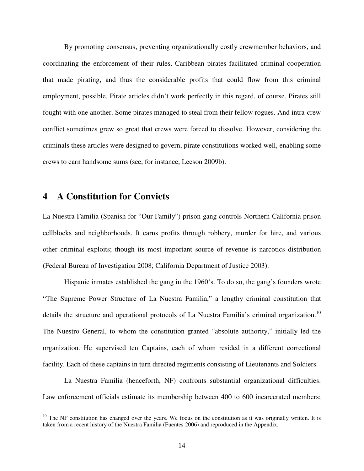By promoting consensus, preventing organizationally costly crewmember behaviors, and coordinating the enforcement of their rules, Caribbean pirates facilitated criminal cooperation that made pirating, and thus the considerable profits that could flow from this criminal employment, possible. Pirate articles didn't work perfectly in this regard, of course. Pirates still fought with one another. Some pirates managed to steal from their fellow rogues. And intra-crew conflict sometimes grew so great that crews were forced to dissolve. However, considering the criminals these articles were designed to govern, pirate constitutions worked well, enabling some crews to earn handsome sums (see, for instance, Leeson 2009b).

### **4 A Constitution for Convicts**

 $\overline{a}$ 

La Nuestra Familia (Spanish for "Our Family") prison gang controls Northern California prison cellblocks and neighborhoods. It earns profits through robbery, murder for hire, and various other criminal exploits; though its most important source of revenue is narcotics distribution (Federal Bureau of Investigation 2008; California Department of Justice 2003).

Hispanic inmates established the gang in the 1960's. To do so, the gang's founders wrote "The Supreme Power Structure of La Nuestra Familia," a lengthy criminal constitution that details the structure and operational protocols of La Nuestra Familia's criminal organization.<sup>10</sup> The Nuestro General, to whom the constitution granted "absolute authority," initially led the organization. He supervised ten Captains, each of whom resided in a different correctional facility. Each of these captains in turn directed regiments consisting of Lieutenants and Soldiers.

 La Nuestra Familia (henceforth, NF) confronts substantial organizational difficulties. Law enforcement officials estimate its membership between 400 to 600 incarcerated members;

 $10$  The NF constitution has changed over the years. We focus on the constitution as it was originally written. It is taken from a recent history of the Nuestra Familia (Fuentes 2006) and reproduced in the Appendix.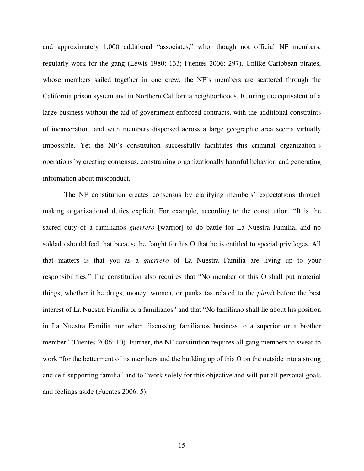and approximately 1,000 additional "associates," who, though not official NF members, regularly work for the gang (Lewis 1980: 133; Fuentes 2006: 297). Unlike Caribbean pirates, whose members sailed together in one crew, the NF's members are scattered through the California prison system and in Northern California neighborhoods. Running the equivalent of a large business without the aid of government-enforced contracts, with the additional constraints of incarceration, and with members dispersed across a large geographic area seems virtually impossible. Yet the NF's constitution successfully facilitates this criminal organization's operations by creating consensus, constraining organizationally harmful behavior, and generating information about misconduct.

The NF constitution creates consensus by clarifying members' expectations through making organizational duties explicit. For example, according to the constitution, "It is the sacred duty of a familianos *guerrero* [warrior] to do battle for La Nuestra Familia, and no soldado should feel that because he fought for his O that he is entitled to special privileges. All that matters is that you as a *guerrero* of La Nuestra Familia are living up to your responsibilities." The constitution also requires that "No member of this O shall put material things, whether it be drugs, money, women, or punks (as related to the *pinta*) before the best interest of La Nuestra Familia or a familianos" and that "No familiano shall lie about his position in La Nuestra Familia nor when discussing familianos business to a superior or a brother member" (Fuentes 2006: 10). Further, the NF constitution requires all gang members to swear to work "for the betterment of its members and the building up of this O on the outside into a strong and self-supporting familia" and to "work solely for this objective and will put all personal goals and feelings aside (Fuentes 2006: 5).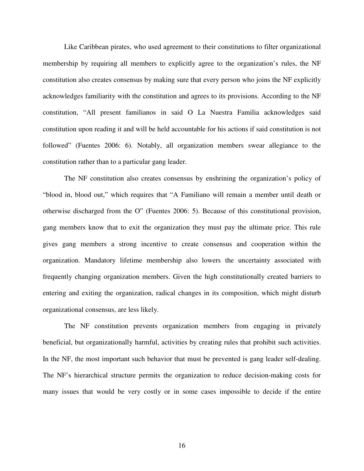Like Caribbean pirates, who used agreement to their constitutions to filter organizational membership by requiring all members to explicitly agree to the organization's rules, the NF constitution also creates consensus by making sure that every person who joins the NF explicitly acknowledges familiarity with the constitution and agrees to its provisions. According to the NF constitution, "All present familianos in said O La Nuestra Familia acknowledges said constitution upon reading it and will be held accountable for his actions if said constitution is not followed" (Fuentes 2006: 6). Notably, all organization members swear allegiance to the constitution rather than to a particular gang leader.

The NF constitution also creates consensus by enshrining the organization's policy of "blood in, blood out," which requires that "A Familiano will remain a member until death or otherwise discharged from the O" (Fuentes 2006: 5). Because of this constitutional provision, gang members know that to exit the organization they must pay the ultimate price. This rule gives gang members a strong incentive to create consensus and cooperation within the organization. Mandatory lifetime membership also lowers the uncertainty associated with frequently changing organization members. Given the high constitutionally created barriers to entering and exiting the organization, radical changes in its composition, which might disturb organizational consensus, are less likely.

 The NF constitution prevents organization members from engaging in privately beneficial, but organizationally harmful, activities by creating rules that prohibit such activities. In the NF, the most important such behavior that must be prevented is gang leader self-dealing. The NF's hierarchical structure permits the organization to reduce decision-making costs for many issues that would be very costly or in some cases impossible to decide if the entire

16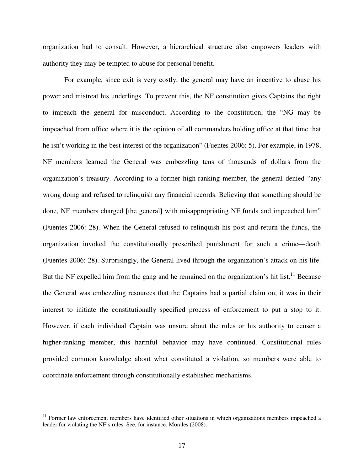organization had to consult. However, a hierarchical structure also empowers leaders with authority they may be tempted to abuse for personal benefit.

For example, since exit is very costly, the general may have an incentive to abuse his power and mistreat his underlings. To prevent this, the NF constitution gives Captains the right to impeach the general for misconduct. According to the constitution, the "NG may be impeached from office where it is the opinion of all commanders holding office at that time that he isn't working in the best interest of the organization" (Fuentes 2006: 5). For example, in 1978, NF members learned the General was embezzling tens of thousands of dollars from the organization's treasury. According to a former high-ranking member, the general denied "any wrong doing and refused to relinquish any financial records. Believing that something should be done, NF members charged [the general] with misappropriating NF funds and impeached him" (Fuentes 2006: 28). When the General refused to relinquish his post and return the funds, the organization invoked the constitutionally prescribed punishment for such a crime—death (Fuentes 2006: 28). Surprisingly, the General lived through the organization's attack on his life. But the NF expelled him from the gang and he remained on the organization's hit list.<sup>11</sup> Because the General was embezzling resources that the Captains had a partial claim on, it was in their interest to initiate the constitutionally specified process of enforcement to put a stop to it. However, if each individual Captain was unsure about the rules or his authority to censer a higher-ranking member, this harmful behavior may have continued. Constitutional rules provided common knowledge about what constituted a violation, so members were able to coordinate enforcement through constitutionally established mechanisms.

 $\overline{a}$ 

 $11$  Former law enforcement members have identified other situations in which organizations members impeached a leader for violating the NF's rules. See, for instance, Morales (2008).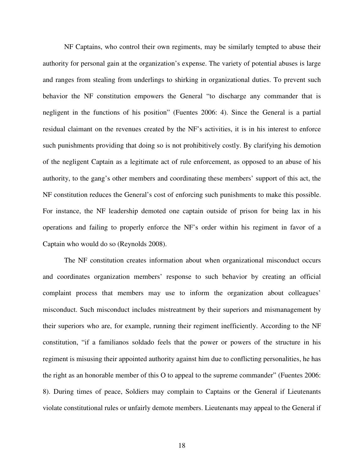NF Captains, who control their own regiments, may be similarly tempted to abuse their authority for personal gain at the organization's expense. The variety of potential abuses is large and ranges from stealing from underlings to shirking in organizational duties. To prevent such behavior the NF constitution empowers the General "to discharge any commander that is negligent in the functions of his position" (Fuentes 2006: 4). Since the General is a partial residual claimant on the revenues created by the NF's activities, it is in his interest to enforce such punishments providing that doing so is not prohibitively costly. By clarifying his demotion of the negligent Captain as a legitimate act of rule enforcement, as opposed to an abuse of his authority, to the gang's other members and coordinating these members' support of this act, the NF constitution reduces the General's cost of enforcing such punishments to make this possible. For instance, the NF leadership demoted one captain outside of prison for being lax in his operations and failing to properly enforce the NF's order within his regiment in favor of a Captain who would do so (Reynolds 2008).

The NF constitution creates information about when organizational misconduct occurs and coordinates organization members' response to such behavior by creating an official complaint process that members may use to inform the organization about colleagues' misconduct. Such misconduct includes mistreatment by their superiors and mismanagement by their superiors who are, for example, running their regiment inefficiently. According to the NF constitution, "if a familianos soldado feels that the power or powers of the structure in his regiment is misusing their appointed authority against him due to conflicting personalities, he has the right as an honorable member of this O to appeal to the supreme commander" (Fuentes 2006: 8). During times of peace, Soldiers may complain to Captains or the General if Lieutenants violate constitutional rules or unfairly demote members. Lieutenants may appeal to the General if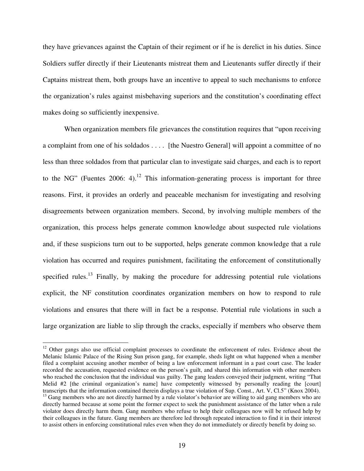they have grievances against the Captain of their regiment or if he is derelict in his duties. Since Soldiers suffer directly if their Lieutenants mistreat them and Lieutenants suffer directly if their Captains mistreat them, both groups have an incentive to appeal to such mechanisms to enforce the organization's rules against misbehaving superiors and the constitution's coordinating effect makes doing so sufficiently inexpensive.

When organization members file grievances the constitution requires that "upon receiving a complaint from one of his soldados . . . . [the Nuestro General] will appoint a committee of no less than three soldados from that particular clan to investigate said charges, and each is to report to the NG" (Fuentes 2006: 4).<sup>12</sup> This information-generating process is important for three reasons. First, it provides an orderly and peaceable mechanism for investigating and resolving disagreements between organization members. Second, by involving multiple members of the organization, this process helps generate common knowledge about suspected rule violations and, if these suspicions turn out to be supported, helps generate common knowledge that a rule violation has occurred and requires punishment, facilitating the enforcement of constitutionally specified rules.<sup>13</sup> Finally, by making the procedure for addressing potential rule violations explicit, the NF constitution coordinates organization members on how to respond to rule violations and ensures that there will in fact be a response. Potential rule violations in such a large organization are liable to slip through the cracks, especially if members who observe them

 $\overline{a}$ 

<sup>&</sup>lt;sup>12</sup> Other gangs also use official complaint processes to coordinate the enforcement of rules. Evidence about the Melanic Islamic Palace of the Rising Sun prison gang, for example, sheds light on what happened when a member filed a complaint accusing another member of being a law enforcement informant in a past court case. The leader recorded the accusation, requested evidence on the person's guilt, and shared this information with other members who reached the conclusion that the individual was guilty. The gang leaders conveyed their judgment, writing "That Melid #2 [the criminal organization's name] have competently witnessed by personally reading the [court] transcripts that the information contained therein displays a true violation of Sup. Const., Art. V, Cl.5" (Knox 2004). <sup>13</sup> Gang members who are not directly harmed by a rule violator's behavior are willing to aid gang members who are directly harmed because at some point the former expect to seek the punishment assistance of the latter when a rule violator does directly harm them. Gang members who refuse to help their colleagues now will be refused help by their colleagues in the future. Gang members are therefore led through repeated interaction to find it in their interest to assist others in enforcing constitutional rules even when they do not immediately or directly benefit by doing so.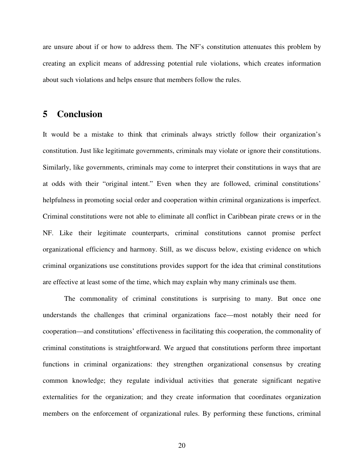are unsure about if or how to address them. The NF's constitution attenuates this problem by creating an explicit means of addressing potential rule violations, which creates information about such violations and helps ensure that members follow the rules.

### **5 Conclusion**

It would be a mistake to think that criminals always strictly follow their organization's constitution. Just like legitimate governments, criminals may violate or ignore their constitutions. Similarly, like governments, criminals may come to interpret their constitutions in ways that are at odds with their "original intent." Even when they are followed, criminal constitutions' helpfulness in promoting social order and cooperation within criminal organizations is imperfect. Criminal constitutions were not able to eliminate all conflict in Caribbean pirate crews or in the NF. Like their legitimate counterparts, criminal constitutions cannot promise perfect organizational efficiency and harmony. Still, as we discuss below, existing evidence on which criminal organizations use constitutions provides support for the idea that criminal constitutions are effective at least some of the time, which may explain why many criminals use them.

The commonality of criminal constitutions is surprising to many. But once one understands the challenges that criminal organizations face—most notably their need for cooperation—and constitutions' effectiveness in facilitating this cooperation, the commonality of criminal constitutions is straightforward. We argued that constitutions perform three important functions in criminal organizations: they strengthen organizational consensus by creating common knowledge; they regulate individual activities that generate significant negative externalities for the organization; and they create information that coordinates organization members on the enforcement of organizational rules. By performing these functions, criminal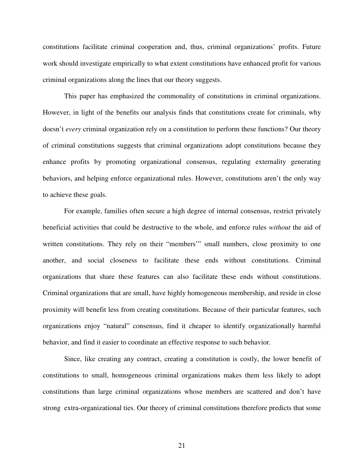constitutions facilitate criminal cooperation and, thus, criminal organizations' profits. Future work should investigate empirically to what extent constitutions have enhanced profit for various criminal organizations along the lines that our theory suggests.

 This paper has emphasized the commonality of constitutions in criminal organizations. However, in light of the benefits our analysis finds that constitutions create for criminals, why doesn't *every* criminal organization rely on a constitution to perform these functions? Our theory of criminal constitutions suggests that criminal organizations adopt constitutions because they enhance profits by promoting organizational consensus, regulating externality generating behaviors, and helping enforce organizational rules. However, constitutions aren't the only way to achieve these goals.

For example, families often secure a high degree of internal consensus, restrict privately beneficial activities that could be destructive to the whole, and enforce rules *without* the aid of written constitutions. They rely on their "members" small numbers, close proximity to one another, and social closeness to facilitate these ends without constitutions. Criminal organizations that share these features can also facilitate these ends without constitutions. Criminal organizations that are small, have highly homogeneous membership, and reside in close proximity will benefit less from creating constitutions. Because of their particular features, such organizations enjoy "natural" consensus, find it cheaper to identify organizationally harmful behavior, and find it easier to coordinate an effective response to such behavior.

Since, like creating any contract, creating a constitution is costly, the lower benefit of constitutions to small, homogeneous criminal organizations makes them less likely to adopt constitutions than large criminal organizations whose members are scattered and don't have strong extra-organizational ties. Our theory of criminal constitutions therefore predicts that some

21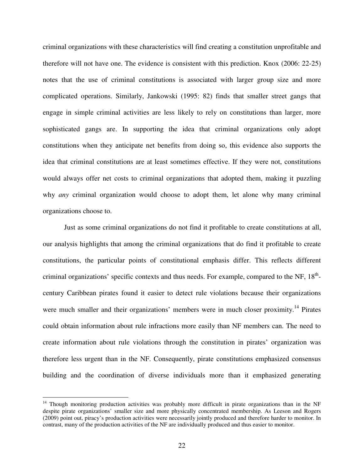criminal organizations with these characteristics will find creating a constitution unprofitable and therefore will not have one. The evidence is consistent with this prediction. Knox (2006: 22-25) notes that the use of criminal constitutions is associated with larger group size and more complicated operations. Similarly, Jankowski (1995: 82) finds that smaller street gangs that engage in simple criminal activities are less likely to rely on constitutions than larger, more sophisticated gangs are. In supporting the idea that criminal organizations only adopt constitutions when they anticipate net benefits from doing so, this evidence also supports the idea that criminal constitutions are at least sometimes effective. If they were not, constitutions would always offer net costs to criminal organizations that adopted them, making it puzzling why *any* criminal organization would choose to adopt them, let alone why many criminal organizations choose to.

 Just as some criminal organizations do not find it profitable to create constitutions at all, our analysis highlights that among the criminal organizations that do find it profitable to create constitutions, the particular points of constitutional emphasis differ. This reflects different criminal organizations' specific contexts and thus needs. For example, compared to the NF, 18<sup>th</sup>century Caribbean pirates found it easier to detect rule violations because their organizations were much smaller and their organizations' members were in much closer proximity.<sup>14</sup> Pirates could obtain information about rule infractions more easily than NF members can. The need to create information about rule violations through the constitution in pirates' organization was therefore less urgent than in the NF. Consequently, pirate constitutions emphasized consensus building and the coordination of diverse individuals more than it emphasized generating

 $\overline{a}$ 

<sup>&</sup>lt;sup>14</sup> Though monitoring production activities was probably more difficult in pirate organizations than in the NF despite pirate organizations' smaller size and more physically concentrated membership. As Leeson and Rogers (2009) point out, piracy's production activities were necessarily jointly produced and therefore harder to monitor. In contrast, many of the production activities of the NF are individually produced and thus easier to monitor.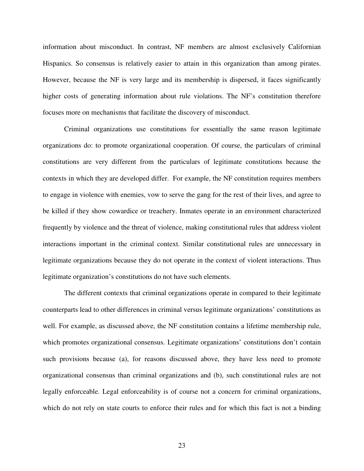information about misconduct. In contrast, NF members are almost exclusively Californian Hispanics. So consensus is relatively easier to attain in this organization than among pirates. However, because the NF is very large and its membership is dispersed, it faces significantly higher costs of generating information about rule violations. The NF's constitution therefore focuses more on mechanisms that facilitate the discovery of misconduct.

Criminal organizations use constitutions for essentially the same reason legitimate organizations do: to promote organizational cooperation. Of course, the particulars of criminal constitutions are very different from the particulars of legitimate constitutions because the contexts in which they are developed differ. For example, the NF constitution requires members to engage in violence with enemies, vow to serve the gang for the rest of their lives, and agree to be killed if they show cowardice or treachery. Inmates operate in an environment characterized frequently by violence and the threat of violence, making constitutional rules that address violent interactions important in the criminal context. Similar constitutional rules are unnecessary in legitimate organizations because they do not operate in the context of violent interactions. Thus legitimate organization's constitutions do not have such elements.

The different contexts that criminal organizations operate in compared to their legitimate counterparts lead to other differences in criminal versus legitimate organizations' constitutions as well. For example, as discussed above, the NF constitution contains a lifetime membership rule, which promotes organizational consensus. Legitimate organizations' constitutions don't contain such provisions because (a), for reasons discussed above, they have less need to promote organizational consensus than criminal organizations and (b), such constitutional rules are not legally enforceable. Legal enforceability is of course not a concern for criminal organizations, which do not rely on state courts to enforce their rules and for which this fact is not a binding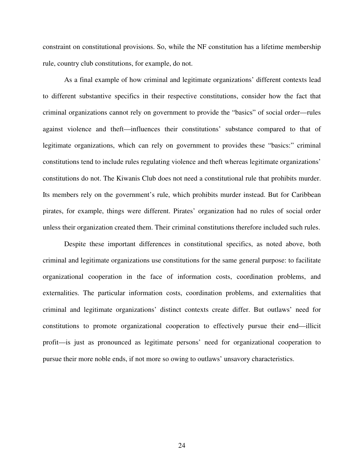constraint on constitutional provisions. So, while the NF constitution has a lifetime membership rule, country club constitutions, for example, do not.

As a final example of how criminal and legitimate organizations' different contexts lead to different substantive specifics in their respective constitutions, consider how the fact that criminal organizations cannot rely on government to provide the "basics" of social order—rules against violence and theft—influences their constitutions' substance compared to that of legitimate organizations, which can rely on government to provides these "basics:" criminal constitutions tend to include rules regulating violence and theft whereas legitimate organizations' constitutions do not. The Kiwanis Club does not need a constitutional rule that prohibits murder. Its members rely on the government's rule, which prohibits murder instead. But for Caribbean pirates, for example, things were different. Pirates' organization had no rules of social order unless their organization created them. Their criminal constitutions therefore included such rules.

 Despite these important differences in constitutional specifics, as noted above, both criminal and legitimate organizations use constitutions for the same general purpose: to facilitate organizational cooperation in the face of information costs, coordination problems, and externalities. The particular information costs, coordination problems, and externalities that criminal and legitimate organizations' distinct contexts create differ. But outlaws' need for constitutions to promote organizational cooperation to effectively pursue their end—illicit profit—is just as pronounced as legitimate persons' need for organizational cooperation to pursue their more noble ends, if not more so owing to outlaws' unsavory characteristics.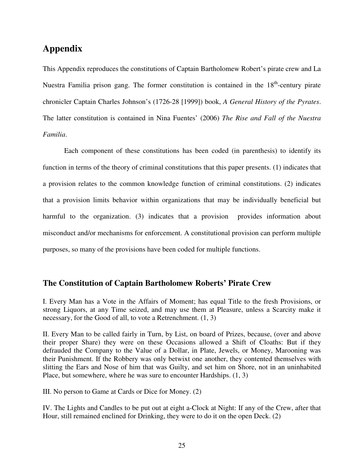# **Appendix**

This Appendix reproduces the constitutions of Captain Bartholomew Robert's pirate crew and La Nuestra Familia prison gang. The former constitution is contained in the  $18<sup>th</sup>$ -century pirate chronicler Captain Charles Johnson's (1726-28 [1999]) book, *A General History of the Pyrates*. The latter constitution is contained in Nina Fuentes' (2006) *The Rise and Fall of the Nuestra Familia*.

 Each component of these constitutions has been coded (in parenthesis) to identify its function in terms of the theory of criminal constitutions that this paper presents. (1) indicates that a provision relates to the common knowledge function of criminal constitutions. (2) indicates that a provision limits behavior within organizations that may be individually beneficial but harmful to the organization. (3) indicates that a provision provides information about misconduct and/or mechanisms for enforcement. A constitutional provision can perform multiple purposes, so many of the provisions have been coded for multiple functions.

### **The Constitution of Captain Bartholomew Roberts' Pirate Crew**

I. Every Man has a Vote in the Affairs of Moment; has equal Title to the fresh Provisions, or strong Liquors, at any Time seized, and may use them at Pleasure, unless a Scarcity make it necessary, for the Good of all, to vote a Retrenchment. (1, 3)

II. Every Man to be called fairly in Turn, by List, on board of Prizes, because, (over and above their proper Share) they were on these Occasions allowed a Shift of Cloaths: But if they defrauded the Company to the Value of a Dollar, in Plate, Jewels, or Money, Marooning was their Punishment. If the Robbery was only betwixt one another, they contented themselves with slitting the Ears and Nose of him that was Guilty, and set him on Shore, not in an uninhabited Place, but somewhere, where he was sure to encounter Hardships. (1, 3)

III. No person to Game at Cards or Dice for Money. (2)

IV. The Lights and Candles to be put out at eight a-Clock at Night: If any of the Crew, after that Hour, still remained enclined for Drinking, they were to do it on the open Deck. (2)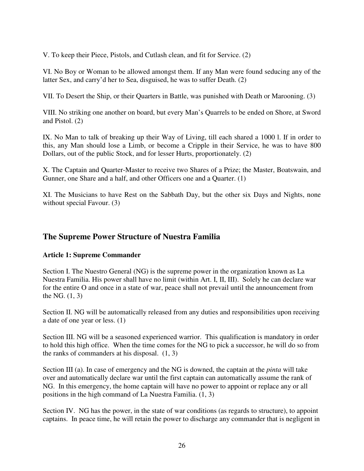V. To keep their Piece, Pistols, and Cutlash clean, and fit for Service. (2)

VI. No Boy or Woman to be allowed amongst them. If any Man were found seducing any of the latter Sex, and carry'd her to Sea, disguised, he was to suffer Death. (2)

VII. To Desert the Ship, or their Quarters in Battle, was punished with Death or Marooning. (3)

VIII. No striking one another on board, but every Man's Quarrels to be ended on Shore, at Sword and Pistol. (2)

IX. No Man to talk of breaking up their Way of Living, till each shared a 1000 l. If in order to this, any Man should lose a Limb, or become a Cripple in their Service, he was to have 800 Dollars, out of the public Stock, and for lesser Hurts, proportionately. (2)

X. The Captain and Quarter-Master to receive two Shares of a Prize; the Master, Boatswain, and Gunner, one Share and a half, and other Officers one and a Quarter. (1)

XI. The Musicians to have Rest on the Sabbath Day, but the other six Days and Nights, none without special Favour. (3)

### **The Supreme Power Structure of Nuestra Familia**

#### **Article 1: Supreme Commander**

Section I. The Nuestro General (NG) is the supreme power in the organization known as La Nuestra Familia. His power shall have no limit (within Art. I, II, III). Solely he can declare war for the entire O and once in a state of war, peace shall not prevail until the announcement from the NG. (1, 3)

Section II. NG will be automatically released from any duties and responsibilities upon receiving a date of one year or less. (1)

Section III. NG will be a seasoned experienced warrior. This qualification is mandatory in order to hold this high office. When the time comes for the NG to pick a successor, he will do so from the ranks of commanders at his disposal.  $(1, 3)$ 

Section III (a). In case of emergency and the NG is downed, the captain at the *pinta* will take over and automatically declare war until the first captain can automatically assume the rank of NG. In this emergency, the home captain will have no power to appoint or replace any or all positions in the high command of La Nuestra Familia. (1, 3)

Section IV. NG has the power, in the state of war conditions (as regards to structure), to appoint captains. In peace time, he will retain the power to discharge any commander that is negligent in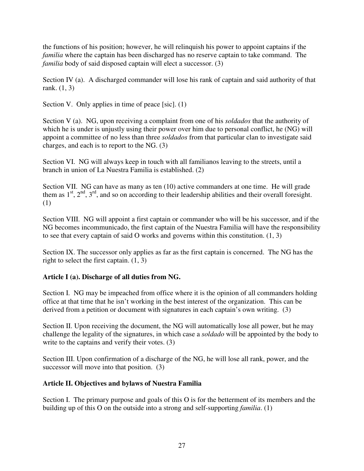the functions of his position; however, he will relinquish his power to appoint captains if the *familia* where the captain has been discharged has no reserve captain to take command. The *familia* body of said disposed captain will elect a successor. (3)

Section IV (a). A discharged commander will lose his rank of captain and said authority of that rank. (1, 3)

Section V. Only applies in time of peace [sic]. (1)

Section V (a). NG, upon receiving a complaint from one of his *soldados* that the authority of which he is under is unjustly using their power over him due to personal conflict, he (NG) will appoint a committee of no less than three *soldados* from that particular clan to investigate said charges, and each is to report to the NG. (3)

Section VI. NG will always keep in touch with all familianos leaving to the streets, until a branch in union of La Nuestra Familia is established. (2)

Section VII. NG can have as many as ten (10) active commanders at one time. He will grade them as  $1<sup>st</sup>$ ,  $2<sup>nd</sup>$ ,  $3<sup>rd</sup>$ , and so on according to their leadership abilities and their overall foresight. (1)

Section VIII. NG will appoint a first captain or commander who will be his successor, and if the NG becomes incommunicado, the first captain of the Nuestra Familia will have the responsibility to see that every captain of said O works and governs within this constitution. (1, 3)

Section IX. The successor only applies as far as the first captain is concerned. The NG has the right to select the first captain. (1, 3)

### **Article I (a). Discharge of all duties from NG.**

Section I. NG may be impeached from office where it is the opinion of all commanders holding office at that time that he isn't working in the best interest of the organization. This can be derived from a petition or document with signatures in each captain's own writing. (3)

Section II. Upon receiving the document, the NG will automatically lose all power, but he may challenge the legality of the signatures, in which case a *soldado* will be appointed by the body to write to the captains and verify their votes. (3)

Section III. Upon confirmation of a discharge of the NG, he will lose all rank, power, and the successor will move into that position. (3)

#### **Article II. Objectives and bylaws of Nuestra Familia**

Section I. The primary purpose and goals of this O is for the betterment of its members and the building up of this O on the outside into a strong and self-supporting *familia*. (1)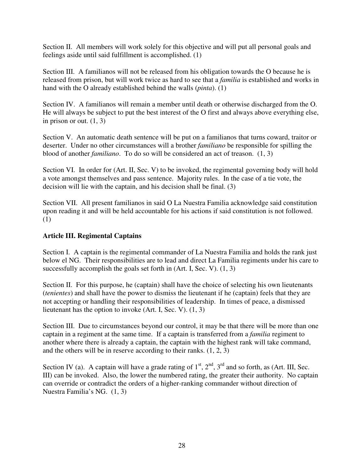Section II. All members will work solely for this objective and will put all personal goals and feelings aside until said fulfillment is accomplished. (1)

Section III. A familianos will not be released from his obligation towards the O because he is released from prison, but will work twice as hard to see that a *familia* is established and works in hand with the O already established behind the walls (*pinta*). (1)

Section IV. A familianos will remain a member until death or otherwise discharged from the O. He will always be subject to put the best interest of the O first and always above everything else, in prison or out.  $(1, 3)$ 

Section V. An automatic death sentence will be put on a familianos that turns coward, traitor or deserter. Under no other circumstances will a brother *familiano* be responsible for spilling the blood of another *familiano*. To do so will be considered an act of treason. (1, 3)

Section VI. In order for (Art. II, Sec. V) to be invoked, the regimental governing body will hold a vote amongst themselves and pass sentence. Majority rules. In the case of a tie vote, the decision will lie with the captain, and his decision shall be final. (3)

Section VII. All present familianos in said O La Nuestra Familia acknowledge said constitution upon reading it and will be held accountable for his actions if said constitution is not followed. (1)

### **Article III. Regimental Captains**

Section I. A captain is the regimental commander of La Nuestra Familia and holds the rank just below el NG. Their responsibilities are to lead and direct La Familia regiments under his care to successfully accomplish the goals set forth in (Art. I, Sec. V). (1, 3)

Section II. For this purpose, he (captain) shall have the choice of selecting his own lieutenants (*tenientes*) and shall have the power to dismiss the lieutenant if he (captain) feels that they are not accepting or handling their responsibilities of leadership. In times of peace, a dismissed lieutenant has the option to invoke (Art. I, Sec. V). (1, 3)

Section III. Due to circumstances beyond our control, it may be that there will be more than one captain in a regiment at the same time. If a captain is transferred from a *familia* regiment to another where there is already a captain, the captain with the highest rank will take command, and the others will be in reserve according to their ranks. (1, 2, 3)

Section IV (a). A captain will have a grade rating of  $1<sup>st</sup>$ ,  $2<sup>nd</sup>$ ,  $3<sup>rd</sup>$  and so forth, as (Art. III, Sec. III) can be invoked. Also, the lower the numbered rating, the greater their authority. No captain can override or contradict the orders of a higher-ranking commander without direction of Nuestra Familia's NG. (1, 3)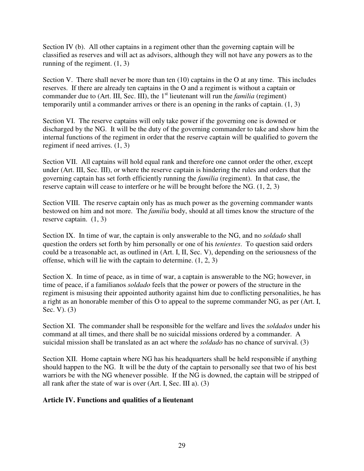Section IV (b). All other captains in a regiment other than the governing captain will be classified as reserves and will act as advisors, although they will not have any powers as to the running of the regiment. (1, 3)

Section V. There shall never be more than ten (10) captains in the O at any time. This includes reserves. If there are already ten captains in the O and a regiment is without a captain or commander due to (Art. III, Sec. III), the  $1<sup>st</sup>$  lieutenant will run the *familia* (regiment) temporarily until a commander arrives or there is an opening in the ranks of captain. (1, 3)

Section VI. The reserve captains will only take power if the governing one is downed or discharged by the NG. It will be the duty of the governing commander to take and show him the internal functions of the regiment in order that the reserve captain will be qualified to govern the regiment if need arrives. (1, 3)

Section VII. All captains will hold equal rank and therefore one cannot order the other, except under (Art. III, Sec. III), or where the reserve captain is hindering the rules and orders that the governing captain has set forth efficiently running the *familia* (regiment). In that case, the reserve captain will cease to interfere or he will be brought before the NG. (1, 2, 3)

Section VIII. The reserve captain only has as much power as the governing commander wants bestowed on him and not more. The *familia* body, should at all times know the structure of the reserve captain. (1, 3)

Section IX. In time of war, the captain is only answerable to the NG, and no *soldado* shall question the orders set forth by him personally or one of his *tenientes*. To question said orders could be a treasonable act, as outlined in (Art. I, II, Sec. V), depending on the seriousness of the offense, which will lie with the captain to determine. (1, 2, 3)

Section X. In time of peace, as in time of war, a captain is answerable to the NG; however, in time of peace, if a familianos *soldado* feels that the power or powers of the structure in the regiment is misusing their appointed authority against him due to conflicting personalities, he has a right as an honorable member of this O to appeal to the supreme commander NG, as per (Art. I, Sec. V). (3)

Section XI. The commander shall be responsible for the welfare and lives the *soldados* under his command at all times, and there shall be no suicidal missions ordered by a commander. A suicidal mission shall be translated as an act where the *soldado* has no chance of survival. (3)

Section XII. Home captain where NG has his headquarters shall be held responsible if anything should happen to the NG. It will be the duty of the captain to personally see that two of his best warriors be with the NG whenever possible. If the NG is downed, the captain will be stripped of all rank after the state of war is over (Art. I, Sec. III a). (3)

#### **Article IV. Functions and qualities of a lieutenant**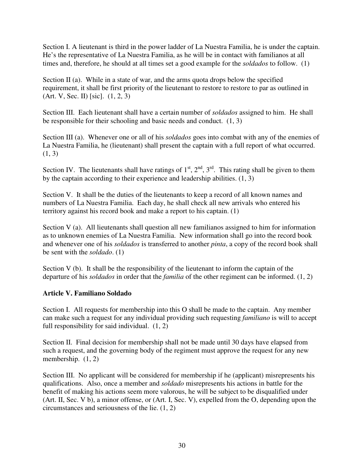Section I. A lieutenant is third in the power ladder of La Nuestra Familia, he is under the captain. He's the representative of La Nuestra Familia, as he will be in contact with familianos at all times and, therefore, he should at all times set a good example for the *soldados* to follow. (1)

Section II (a). While in a state of war, and the arms quota drops below the specified requirement, it shall be first priority of the lieutenant to restore to restore to par as outlined in (Art. V, Sec. II) [sic]. (1, 2, 3)

Section III. Each lieutenant shall have a certain number of *soldados* assigned to him. He shall be responsible for their schooling and basic needs and conduct. (1, 3)

Section III (a). Whenever one or all of his *soldados* goes into combat with any of the enemies of La Nuestra Familia, he (lieutenant) shall present the captain with a full report of what occurred.  $(1, 3)$ 

Section IV. The lieutenants shall have ratings of  $1<sup>st</sup>, 2<sup>nd</sup>, 3<sup>rd</sup>$ . This rating shall be given to them by the captain according to their experience and leadership abilities. (1, 3)

Section V. It shall be the duties of the lieutenants to keep a record of all known names and numbers of La Nuestra Familia. Each day, he shall check all new arrivals who entered his territory against his record book and make a report to his captain. (1)

Section V (a). All lieutenants shall question all new familianos assigned to him for information as to unknown enemies of La Nuestra Familia. New information shall go into the record book and whenever one of his *soldados* is transferred to another *pinta*, a copy of the record book shall be sent with the *soldado*. (1)

Section V (b). It shall be the responsibility of the lieutenant to inform the captain of the departure of his *soldados* in order that the *familia* of the other regiment can be informed. (1, 2)

### **Article V. Familiano Soldado**

Section I. All requests for membership into this O shall be made to the captain. Any member can make such a request for any individual providing such requesting *familiano* is will to accept full responsibility for said individual. (1, 2)

Section II. Final decision for membership shall not be made until 30 days have elapsed from such a request, and the governing body of the regiment must approve the request for any new membership. (1, 2)

Section III. No applicant will be considered for membership if he (applicant) misrepresents his qualifications. Also, once a member and *soldado* misrepresents his actions in battle for the benefit of making his actions seem more valorous, he will be subject to be disqualified under (Art. II, Sec. V b), a minor offense, or (Art. I, Sec. V), expelled from the O, depending upon the circumstances and seriousness of the lie. (1, 2)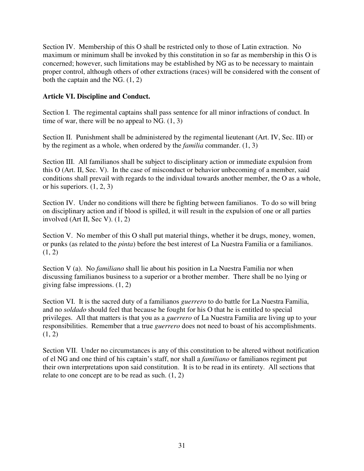Section IV. Membership of this O shall be restricted only to those of Latin extraction. No maximum or minimum shall be invoked by this constitution in so far as membership in this O is concerned; however, such limitations may be established by NG as to be necessary to maintain proper control, although others of other extractions (races) will be considered with the consent of both the captain and the NG.  $(1, 2)$ 

### **Article VI. Discipline and Conduct.**

Section I. The regimental captains shall pass sentence for all minor infractions of conduct. In time of war, there will be no appeal to NG.  $(1, 3)$ 

Section II. Punishment shall be administered by the regimental lieutenant (Art. IV, Sec. III) or by the regiment as a whole, when ordered by the *familia* commander. (1, 3)

Section III. All familianos shall be subject to disciplinary action or immediate expulsion from this O (Art. II, Sec. V). In the case of misconduct or behavior unbecoming of a member, said conditions shall prevail with regards to the individual towards another member, the O as a whole, or his superiors. (1, 2, 3)

Section IV. Under no conditions will there be fighting between familianos. To do so will bring on disciplinary action and if blood is spilled, it will result in the expulsion of one or all parties involved (Art II, Sec V). (1, 2)

Section V. No member of this O shall put material things, whether it be drugs, money, women, or punks (as related to the *pinta*) before the best interest of La Nuestra Familia or a familianos.  $(1, 2)$ 

Section V (a). No *familiano* shall lie about his position in La Nuestra Familia nor when discussing familianos business to a superior or a brother member. There shall be no lying or giving false impressions. (1, 2)

Section VI. It is the sacred duty of a familianos *guerrero* to do battle for La Nuestra Familia, and no *soldado* should feel that because he fought for his O that he is entitled to special privileges. All that matters is that you as a *guerrero* of La Nuestra Familia are living up to your responsibilities. Remember that a true *guerrero* does not need to boast of his accomplishments.  $(1, 2)$ 

Section VII. Under no circumstances is any of this constitution to be altered without notification of el NG and one third of his captain's staff, nor shall a *familiano* or familianos regiment put their own interpretations upon said constitution. It is to be read in its entirety. All sections that relate to one concept are to be read as such. (1, 2)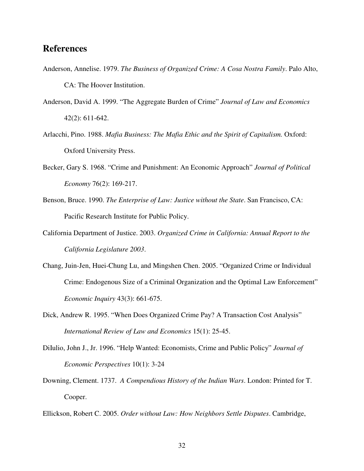## **References**

- Anderson, Annelise. 1979. *The Business of Organized Crime: A Cosa Nostra Family*. Palo Alto, CA: The Hoover Institution.
- Anderson, David A. 1999. "The Aggregate Burden of Crime" *Journal of Law and Economics* 42(2): 611-642.
- Arlacchi, Pino. 1988. *Mafia Business: The Mafia Ethic and the Spirit of Capitalism.* Oxford: Oxford University Press.
- Becker, Gary S. 1968. "Crime and Punishment: An Economic Approach" *Journal of Political Economy* 76(2): 169-217.
- Benson, Bruce. 1990. *The Enterprise of Law: Justice without the State*. San Francisco, CA: Pacific Research Institute for Public Policy.
- California Department of Justice. 2003. *Organized Crime in California: Annual Report to the California Legislature 2003*.
- Chang, Juin-Jen, Huei-Chung Lu, and Mingshen Chen. 2005. "Organized Crime or Individual Crime: Endogenous Size of a Criminal Organization and the Optimal Law Enforcement" *Economic Inquiry* 43(3): 661-675.
- Dick, Andrew R. 1995. "When Does Organized Crime Pay? A Transaction Cost Analysis" *International Review of Law and Economics* 15(1): 25-45.
- DiIulio, John J., Jr. 1996. "Help Wanted: Economists, Crime and Public Policy" *Journal of Economic Perspectives* 10(1): 3-24
- Downing, Clement. 1737. *A Compendious History of the Indian Wars*. London: Printed for T. Cooper.

Ellickson, Robert C. 2005. *Order without Law: How Neighbors Settle Disputes*. Cambridge,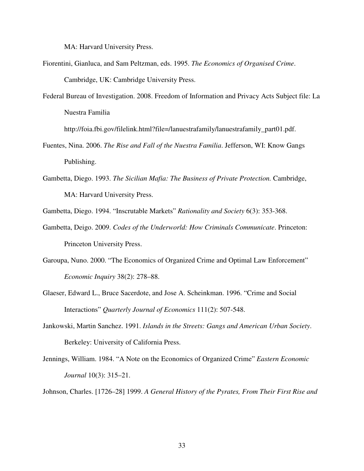MA: Harvard University Press.

- Fiorentini, Gianluca, and Sam Peltzman, eds. 1995. *The Economics of Organised Crime*. Cambridge, UK: Cambridge University Press.
- Federal Bureau of Investigation. 2008. Freedom of Information and Privacy Acts Subject file: La Nuestra Familia

http://foia.fbi.gov/filelink.html?file=/lanuestrafamily/lanuestrafamily\_part01.pdf.

- Fuentes, Nina. 2006. *The Rise and Fall of the Nuestra Familia*. Jefferson, WI: Know Gangs Publishing.
- Gambetta, Diego. 1993. *The Sicilian Mafia: The Business of Private Protection.* Cambridge, MA: Harvard University Press.
- Gambetta, Diego. 1994. "Inscrutable Markets" *Rationality and Society* 6(3): 353-368.
- Gambetta, Deigo. 2009. *Codes of the Underworld: How Criminals Communicate*. Princeton: Princeton University Press.
- Garoupa, Nuno. 2000. "The Economics of Organized Crime and Optimal Law Enforcement" *Economic Inquiry* 38(2): 278–88.
- Glaeser, Edward L., Bruce Sacerdote, and Jose A. Scheinkman. 1996. "Crime and Social Interactions" *Quarterly Journal of Economics* 111(2): 507-548.
- Jankowski, Martin Sanchez. 1991. *Islands in the Streets: Gangs and American Urban Society*. Berkeley: University of California Press.
- Jennings, William. 1984. "A Note on the Economics of Organized Crime" *Eastern Economic Journal* 10(3): 315–21.

Johnson, Charles. [1726–28] 1999. *A General History of the Pyrates, From Their First Rise and*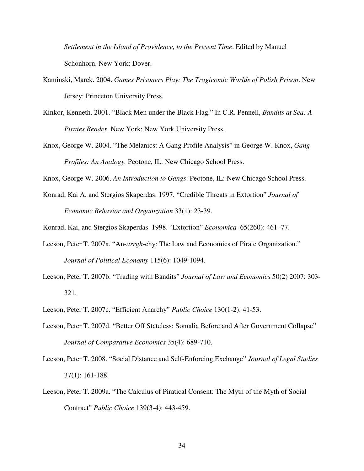*Settlement in the Island of Providence, to the Present Time*. Edited by Manuel Schonhorn. New York: Dover.

- Kaminski, Marek. 2004. *Games Prisoners Play: The Tragicomic Worlds of Polish Prison*. New Jersey: Princeton University Press.
- Kinkor, Kenneth. 2001. "Black Men under the Black Flag." In C.R. Pennell, *Bandits at Sea: A Pirates Reader*. New York: New York University Press.
- Knox, George W. 2004. "The Melanics: A Gang Profile Analysis" in George W. Knox, *Gang Profiles: An Analogy.* Peotone, IL: New Chicago School Press.

Knox, George W. 2006. *An Introduction to Gangs*. Peotone, IL: New Chicago School Press.

Konrad, Kai A. and Stergios Skaperdas. 1997. "Credible Threats in Extortion" *Journal of Economic Behavior and Organization* 33(1): 23-39.

Konrad, Kai, and Stergios Skaperdas. 1998. "Extortion" *Economica* 65(260): 461–77.

- Leeson, Peter T. 2007a. "An-*arrgh*-chy: The Law and Economics of Pirate Organization." *Journal of Political Economy* 115(6): 1049-1094.
- Leeson, Peter T. 2007b. "Trading with Bandits" *Journal of Law and Economics* 50(2) 2007: 303- 321.
- Leeson, Peter T. 2007c. "Efficient Anarchy" *Public Choice* 130(1-2): 41-53.
- Leeson, Peter T. 2007d. "Better Off Stateless: Somalia Before and After Government Collapse" *Journal of Comparative Economics* 35(4): 689-710.
- Leeson, Peter T. 2008. "Social Distance and Self-Enforcing Exchange" *Journal of Legal Studies* 37(1): 161-188.
- Leeson, Peter T. 2009a. "The Calculus of Piratical Consent: The Myth of the Myth of Social Contract" *Public Choice* 139(3-4): 443-459.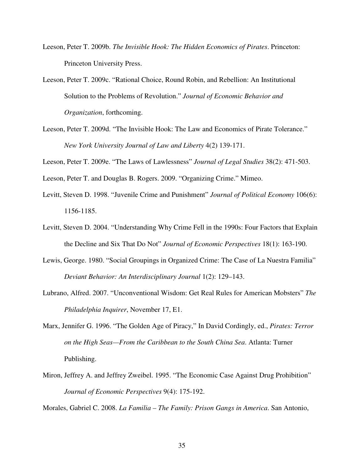- Leeson, Peter T. 2009b. *The Invisible Hook: The Hidden Economics of Pirates*. Princeton: Princeton University Press.
- Leeson, Peter T. 2009c. "Rational Choice, Round Robin, and Rebellion: An Institutional Solution to the Problems of Revolution." *Journal of Economic Behavior and Organization*, forthcoming.
- Leeson, Peter T. 2009d. "The Invisible Hook: The Law and Economics of Pirate Tolerance." *New York University Journal of Law and Liberty* 4(2) 139-171.

Leeson, Peter T. 2009e. "The Laws of Lawlessness" *Journal of Legal Studies* 38(2): 471-503.

- Leeson, Peter T. and Douglas B. Rogers. 2009. "Organizing Crime." Mimeo.
- Levitt, Steven D. 1998. "Juvenile Crime and Punishment" *Journal of Political Economy* 106(6): 1156-1185.
- Levitt, Steven D. 2004. "Understanding Why Crime Fell in the 1990s: Four Factors that Explain the Decline and Six That Do Not" *Journal of Economic Perspectives* 18(1): 163-190.
- Lewis, George. 1980. "Social Groupings in Organized Crime: The Case of La Nuestra Familia" *Deviant Behavior: An Interdisciplinary Journal* 1(2): 129–143.
- Lubrano, Alfred. 2007. "Unconventional Wisdom: Get Real Rules for American Mobsters" *The Philadelphia Inquirer*, November 17, E1.
- Marx, Jennifer G. 1996. "The Golden Age of Piracy," In David Cordingly, ed., *Pirates: Terror on the High Seas—From the Caribbean to the South China Sea*. Atlanta: Turner Publishing.
- Miron, Jeffrey A. and Jeffrey Zweibel. 1995. "The Economic Case Against Drug Prohibition" *Journal of Economic Perspectives* 9(4): 175-192.

Morales, Gabriel C. 2008. *La Familia – The Family: Prison Gangs in America*. San Antonio,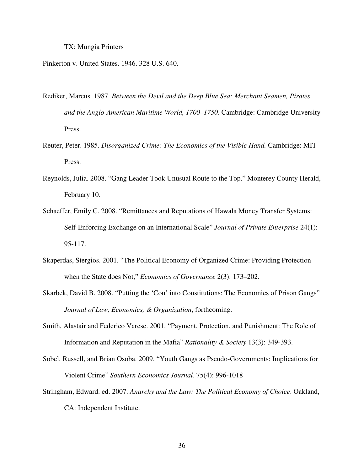#### TX: Mungia Printers

Pinkerton v. United States. 1946. 328 U.S. 640.

- Rediker, Marcus. 1987. *Between the Devil and the Deep Blue Sea: Merchant Seamen, Pirates and the Anglo-American Maritime World, 1700–1750*. Cambridge: Cambridge University Press.
- Reuter, Peter. 1985. *Disorganized Crime: The Economics of the Visible Hand.* Cambridge: MIT Press.
- Reynolds, Julia. 2008. "Gang Leader Took Unusual Route to the Top." Monterey County Herald, February 10.
- Schaeffer, Emily C. 2008. "Remittances and Reputations of Hawala Money Transfer Systems: Self-Enforcing Exchange on an International Scale" *Journal of Private Enterprise* 24(1): 95-117.
- Skaperdas, Stergios. 2001. "The Political Economy of Organized Crime: Providing Protection when the State does Not," *Economics of Governance* 2(3): 173–202.
- Skarbek, David B. 2008. "Putting the 'Con' into Constitutions: The Economics of Prison Gangs" *Journal of Law, Economics, & Organization*, forthcoming.
- Smith, Alastair and Federico Varese. 2001. "Payment, Protection, and Punishment: The Role of Information and Reputation in the Mafia" *Rationality & Society* 13(3): 349-393.
- Sobel, Russell, and Brian Osoba. 2009. "Youth Gangs as Pseudo-Governments: Implications for Violent Crime" *Southern Economics Journal*. 75(4): 996-1018
- Stringham, Edward. ed. 2007. *Anarchy and the Law: The Political Economy of Choice*. Oakland, CA: Independent Institute.